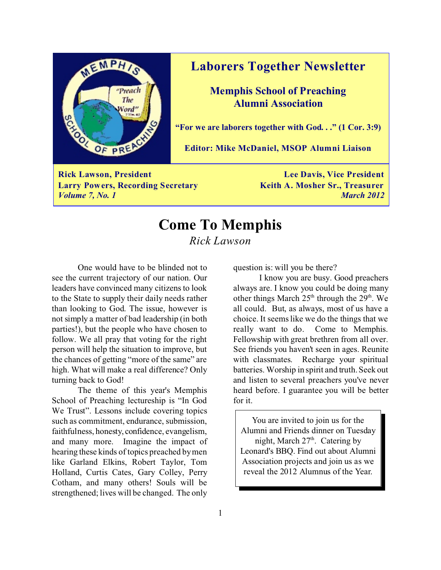

### **Laborers Together Newsletter**

**Memphis School of Preaching Alumni Association**

**"For we are laborers together with God. . ." (1 Cor. 3:9)**

**Editor: Mike McDaniel, MSOP Alumni Liaison**

**Rick Lawson, President Lee Davis, Vice President Larry Powers, Recording Secretary Keith A. Mosher Sr., Treasurer** *Volume 7, No. 1 March 2012*

## **Come To Memphis** *Rick Lawson*

One would have to be blinded not to see the current trajectory of our nation. Our leaders have convinced many citizens to look to the State to supply their daily needs rather than looking to God. The issue, however is not simply a matter of bad leadership (in both parties!), but the people who have chosen to follow. We all pray that voting for the right person will help the situation to improve, but the chances of getting "more of the same" are high. What will make a real difference? Only turning back to God!

The theme of this year's Memphis School of Preaching lectureship is "In God We Trust". Lessons include covering topics such as commitment, endurance, submission, faithfulness, honesty, confidence, evangelism, and many more. Imagine the impact of hearing these kinds of topics preached by men like Garland Elkins, Robert Taylor, Tom Holland, Curtis Cates, Gary Colley, Perry Cotham, and many others! Souls will be strengthened; lives will be changed. The only

question is: will you be there?

I know you are busy. Good preachers always are. I know you could be doing many other things March  $25<sup>th</sup>$  through the  $29<sup>th</sup>$ . We all could. But, as always, most of us have a choice. It seems like we do the things that we really want to do. Come to Memphis. Fellowship with great brethren from all over. See friends you haven't seen in ages. Reunite with classmates. Recharge your spiritual batteries. Worship in spirit and truth. Seek out and listen to several preachers you've never heard before. I guarantee you will be better for it.

You are invited to join us for the Alumni and Friends dinner on Tuesday night, March  $27<sup>th</sup>$ . Catering by Leonard's BBQ. Find out about Alumni Association projects and join us as we reveal the 2012 Alumnus of the Year.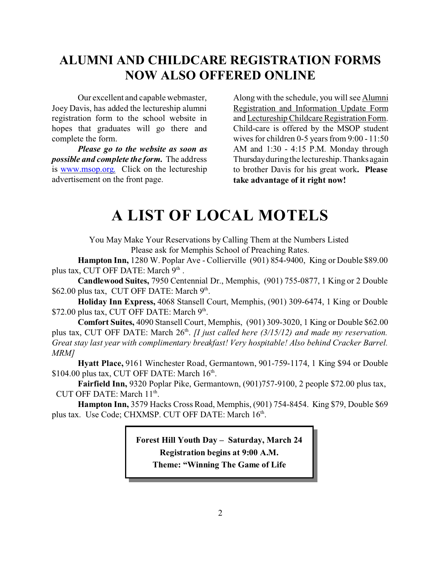## **ALUMNI AND CHILDCARE REGISTRATION FORMS NOW ALSO OFFERED ONLINE**

Our excellent and capable webmaster, Joey Davis, has added the lectureship alumni registration form to the school website in hopes that graduates will go there and complete the form.

*Please go to the website as soon as possible and complete the form.* The address is [www.msop.org.](http://www.msop.org.) Click on the lectureship advertisement on the front page.

Along with the schedule, you will see Alumni Registration and Information Update Form and Lectureship Childcare Registration Form. Child-care is offered by the MSOP student wives for children 0-5 years from 9:00 - 11:50 AM and 1:30 - 4:15 P.M. Monday through Thursday during the lectureship. Thanks again to brother Davis for his great work**. Please take advantage of it right now!** 

# **A LIST OF LOCAL MOTELS**

You May Make Your Reservations by Calling Them at the Numbers Listed Please ask for Memphis School of Preaching Rates.

**Hampton Inn,** 1280 W. Poplar Ave - Collierville (901) 854-9400, King or Double \$89.00 plus tax, CUT OFF DATE: March 9<sup>th</sup>.

**Candlewood Suites,** 7950 Centennial Dr., Memphis, (901) 755-0877, 1 King or 2 Double  $$62.00$  plus tax, CUT OFF DATE: March  $9<sup>th</sup>$ .

**Holiday Inn Express,** 4068 Stansell Court, Memphis, (901) 309-6474, 1 King or Double \$72.00 plus tax, CUT OFF DATE: March 9<sup>th</sup>.

**Comfort Suites,** 4090 Stansell Court, Memphis, (901) 309-3020, 1 King or Double \$62.00 plus tax, CUT OFF DATE: March 26<sup>th</sup>. *[I just called here (3/15/12) and made my reservation*. *Great stay last year with complimentary breakfast! Very hospitable! Also behind Cracker Barrel. MRM]*

**Hyatt Place,** 9161 Winchester Road, Germantown, 901-759-1174, 1 King \$94 or Double  $$104.00$  plus tax, CUT OFF DATE: March  $16<sup>th</sup>$ .

**Fairfield Inn,** 9320 Poplar Pike, Germantown, (901)757-9100, 2 people \$72.00 plus tax, CUT OFF DATE: March 11<sup>th</sup>.

**Hampton Inn,** 3579 Hacks Cross Road, Memphis, (901) 754-8454. King \$79, Double \$69 plus tax. Use Code; CHXMSP. CUT OFF DATE: March 16<sup>th</sup>.

> **Forest Hill Youth Day – Saturday, March 24 Registration begins at 9:00 A.M. Theme: "Winning The Game of Life**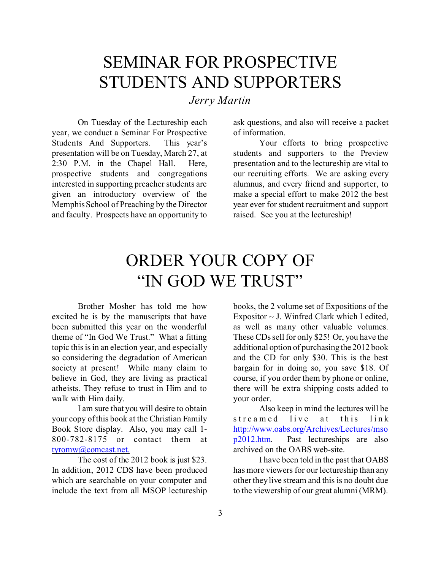# SEMINAR FOR PROSPECTIVE STUDENTS AND SUPPORTERS

*Jerry Martin*

On Tuesday of the Lectureship each year, we conduct a Seminar For Prospective Students And Supporters. This year's presentation will be on Tuesday, March 27, at 2:30 P.M. in the Chapel Hall. Here, prospective students and congregations interested in supporting preacher students are given an introductory overview of the Memphis School of Preaching by the Director and faculty. Prospects have an opportunity to

ask questions, and also will receive a packet of information.

Your efforts to bring prospective students and supporters to the Preview presentation and to the lectureship are vital to our recruiting efforts. We are asking every alumnus, and every friend and supporter, to make a special effort to make 2012 the best year ever for student recruitment and support raised. See you at the lectureship!

# ORDER YOUR COPY OF "IN GOD WE TRUST"

Brother Mosher has told me how excited he is by the manuscripts that have been submitted this year on the wonderful theme of "In God We Trust." What a fitting topic this is in an election year, and especially so considering the degradation of American society at present! While many claim to believe in God, they are living as practical atheists. They refuse to trust in Him and to walk with Him daily.

I am sure that you will desire to obtain your copy of this book at the Christian Family Book Store display. Also, you may call 1- 800-782-8175 or contact them at [tyromw@comcast.net.](mailto:tyromw@comcast.net.)

The cost of the 2012 book is just \$23. In addition, 2012 CDS have been produced which are searchable on your computer and include the text from all MSOP lectureship

books, the 2 volume set of Expositions of the Expositor  $\sim$  J. Winfred Clark which I edited, as well as many other valuable volumes. These CDs sell for only \$25! Or, you have the additional option of purchasing the 2012 book and the CD for only \$30. This is the best bargain for in doing so, you save \$18. Of course, if you order them by phone or online, there will be extra shipping costs added to your order.

Also keep in mind the lectures will be streamed live at this link [http://www.oabs.org/Archives/Lectures/mso](http://www.oabs.org/Archives/Lectures/msop2012.htm) [p2012.htm](http://www.oabs.org/Archives/Lectures/msop2012.htm). Past lectureships are also archived on the OABS web-site.

I have been told in the past that OABS has more viewers for our lectureship than any other they live stream and this is no doubt due to the viewership of our great alumni (MRM).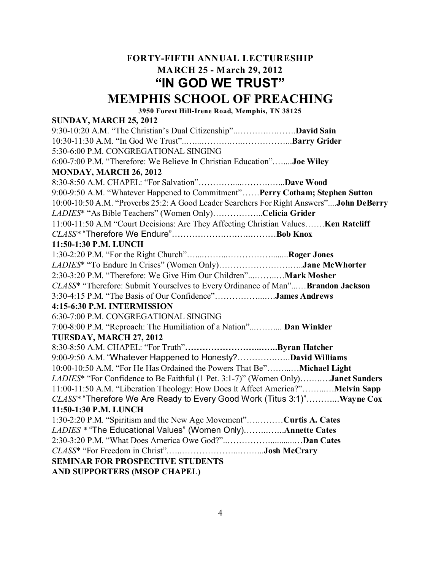### **FORTY-FIFTH ANNUAL LECTURESHIP MARCH 25 - March 29, 2012 "IN GOD WE TRUST"**

### **MEMPHIS SCHOOL OF PREACHING**

**3950 Forest Hill-Irene Road, Memphis, TN 38125**

#### **SUNDAY, MARCH 25, 2012**

9:30-10:20 A.M. "The Christian's Dual Citizenship"..……….….…….**David Sain** 10:30-11:30 A.M. "In God We Trust"..…...……….…..……………...**Barry Grider** 5:30-6:00 P.M. CONGREGATIONAL SINGING 6:00-7:00 P.M. "Therefore: We Believe In Christian Education".…....**Joe Wiley MONDAY, MARCH 26, 2012** 8:30-8:50 A.M. CHAPEL: "For Salvation"…………....……….…...**Dave Wood** 9:00-9:50 A.M. "Whatever Happened to Commitment"……**Perry Cotham; Stephen Sutton** 10:00-10:50 A.M. "Proverbs 25:2: A Good Leader Searchers For Right Answers"....**John DeBerry** *LADIES*\* "As Bible Teachers" (Women Only)……………...**Celicia Grider** 11:00-11:50 A.M "Court Decisions: Are They Affecting Christian Values…….**Ken Ratcliff** *CLASS\** "Therefore We Endure"……………….….…..………**Bob Knox 11:50-1:30 P.M. LUNCH** 1:30-2:20 P.M. "For the Right Church"…....……...……………........**Roger Jones** *LADIES*\* "To Endure In Crises" (Women Only)…………………….…..**Jane McWhorter** 2:30-3:20 P.M. "Therefore: We Give Him Our Children"...……..…**Mark Mosher** *CLASS*\* "Therefore: Submit Yourselves to Every Ordinance of Man"...…**Brandon Jackson** 3:30-4:15 P.M. "The Basis of Our Confidence"……………...….**James Andrews 4:15-6:30 P.M. INTERMISSION** 6:30-7:00 P.M. CONGREGATIONAL SINGING 7:00-8:00 P.M. "Reproach: The Humiliation of a Nation"...…….... **Dan Winkler TUESDAY, MARCH 27, 2012** 8:30-8:50 A.M. CHAPEL: "For Truth"**……………………...…...Byran Hatcher** 9:00-9:50 A.M. "Whatever Happened to Honesty?…………..…..**David Williams** 10:00-10:50 A.M. "For He Has Ordained the Powers That Be"……...…**Michael Light** *LADIES*\* "For Confidence to Be Faithful (1 Pet. 3:1-7)" (Women Only)…….….**Janet Sanders** 11:00-11:50 A.M. "Liberation Theology: How Does It Affect America?"……...…**Melvin Sapp** *CLASS\** "Therefore We Are Ready to Every Good Work (Titus 3:1)"………...**Wayne Cox 11:50-1:30 P.M. LUNCH** 1:30-2:20 P.M. "Spiritism and the New Age Movement"….………**Curtis A. Cates** *LADIES \** "The Educational Values" (Women Only)……...…...**Annette Cates** 2:30-3:20 P.M. "What Does America Owe God?"..……………...........…**Dan Cates** *CLASS*\* "For Freedom in Christ".…..………………...……...**Josh McCrary SEMINAR FOR PROSPECTIVE STUDENTS AND SUPPORTERS (MSOP CHAPEL)**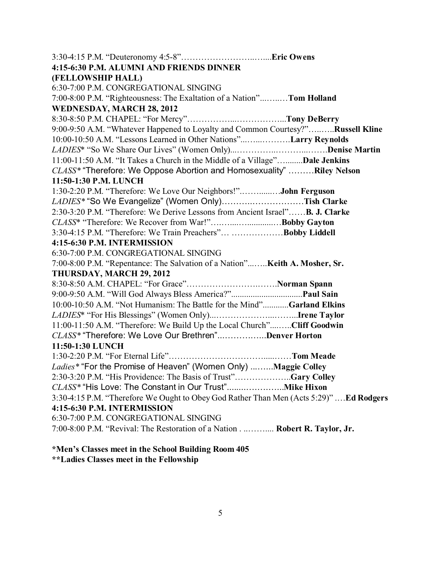| 4:15-6:30 P.M. ALUMNI AND FRIENDS DINNER                                               |  |
|----------------------------------------------------------------------------------------|--|
| (FELLOWSHIP HALL)                                                                      |  |
| 6:30-7:00 P.M. CONGREGATIONAL SINGING                                                  |  |
| 7:00-8:00 P.M. "Righteousness: The Exaltation of a Nation"Tom Holland                  |  |
| <b>WEDNESDAY, MARCH 28, 2012</b>                                                       |  |
|                                                                                        |  |
| 9:00-9:50 A.M. "Whatever Happened to Loyalty and Common Courtesy?"Russell Kline        |  |
| 10:00-10:50 A.M. "Lessons Learned in Other Nations"Larry Reynolds                      |  |
|                                                                                        |  |
| 11:00-11:50 A.M. "It Takes a Church in the Middle of a Village"Dale Jenkins            |  |
| CLASS* "Therefore: We Oppose Abortion and Homosexuality"  Riley Nelson                 |  |
| 11:50-1:30 P.M. LUNCH                                                                  |  |
| 1:30-2:20 P.M. "Therefore: We Love Our Neighbors!"John Ferguson                        |  |
| LADIES* "So We Evangelize" (Women Only)Tish Clarke                                     |  |
| 2:30-3:20 P.M. "Therefore: We Derive Lessons from Ancient Israel"B. J. Clarke          |  |
| CLASS* "Therefore: We Recover from War!"Bobby Gayton                                   |  |
| 3:30-4:15 P.M. "Therefore: We Train Preachers"  Bobby Liddell                          |  |
| 4:15-6:30 P.M. INTERMISSION                                                            |  |
| 6:30-7:00 P.M. CONGREGATIONAL SINGING                                                  |  |
| 7:00-8:00 P.M. "Repentance: The Salvation of a Nation" Keith A. Mosher, Sr.            |  |
| THURSDAY, MARCH 29, 2012                                                               |  |
|                                                                                        |  |
|                                                                                        |  |
| 10:00-10:50 A.M. "Not Humanism: The Battle for the Mind"Garland Elkins                 |  |
|                                                                                        |  |
| 11:00-11:50 A.M. "Therefore: We Build Up the Local Church"Cliff Goodwin                |  |
| CLASS* "Therefore: We Love Our Brethren"Denver Horton                                  |  |
| 11:50-1:30 LUNCH                                                                       |  |
|                                                                                        |  |
| Ladies* "For the Promise of Heaven" (Women Only) Maggie Colley                         |  |
| 2:30-3:20 P.M. "His Providence: The Basis of Trust"Gary Colley                         |  |
|                                                                                        |  |
| 3:30-4:15 P.M. "Therefore We Ought to Obey God Rather Than Men (Acts 5:29)" Ed Rodgers |  |
| 4:15-6:30 P.M. INTERMISSION                                                            |  |
| 6:30-7:00 P.M. CONGREGATIONAL SINGING                                                  |  |
| 7:00-8:00 P.M. "Revival: The Restoration of a Nation Robert R. Taylor, Jr.             |  |
|                                                                                        |  |

#### **\*Men's Classes meet in the School Building Room 405 \*\*Ladies Classes meet in the Fellowship**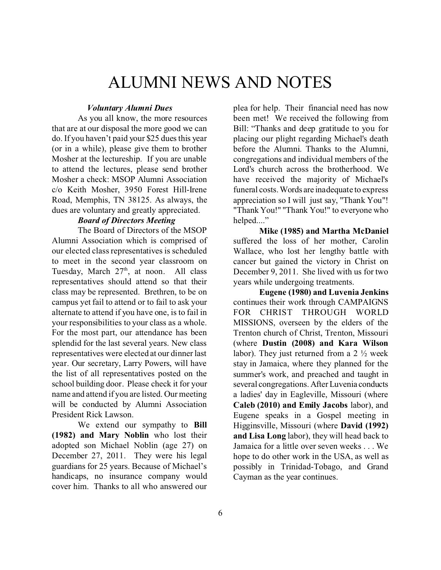# ALUMNI NEWS AND NOTES

#### *Voluntary Alumni Dues*

As you all know, the more resources that are at our disposal the more good we can do. If you haven't paid your \$25 dues this year (or in a while), please give them to brother Mosher at the lectureship. If you are unable to attend the lectures, please send brother Mosher a check: MSOP Alumni Association c/o Keith Mosher, 3950 Forest Hill-Irene Road, Memphis, TN 38125. As always, the dues are voluntary and greatly appreciated.

### *Board of Directors Meeting*

The Board of Directors of the MSOP Alumni Association which is comprised of our elected class representatives is scheduled to meet in the second year classroom on Tuesday, March  $27<sup>th</sup>$ , at noon. All class representatives should attend so that their class may be represented. Brethren, to be on campus yet fail to attend or to fail to ask your alternate to attend if you have one, is to fail in your responsibilities to your class as a whole. For the most part, our attendance has been splendid for the last several years. New class representatives were elected at our dinner last year. Our secretary, Larry Powers, will have the list of all representatives posted on the school building door. Please check it for your name and attend if you are listed. Our meeting will be conducted by Alumni Association President Rick Lawson.

We extend our sympathy to **Bill (1982) and Mary Noblin** who lost their adopted son Michael Noblin (age 27) on December 27, 2011. They were his legal guardians for 25 years. Because of Michael's handicaps, no insurance company would cover him. Thanks to all who answered our

plea for help. Their financial need has now been met! We received the following from Bill: "Thanks and deep gratitude to you for placing our plight regarding Michael's death before the Alumni. Thanks to the Alumni, congregations and individual members of the Lord's church across the brotherhood. We have received the majority of Michael's funeral costs. Words are inadequate to express appreciation so I will just say, "Thank You"! "Thank You!" "Thank You!" to everyone who helped...."

**Mike (1985) and Martha McDaniel** suffered the loss of her mother, Carolin Wallace, who lost her lengthy battle with cancer but gained the victory in Christ on December 9, 2011. She lived with us for two years while undergoing treatments.

**Eugene (1980) and Luvenia Jenkins** continues their work through CAMPAIGNS FOR CHRIST THROUGH WORLD MISSIONS, overseen by the elders of the Trenton church of Christ, Trenton, Missouri (where **Dustin (2008) and Kara Wilson** labor). They just returned from a  $2\frac{1}{2}$  week stay in Jamaica, where they planned for the summer's work, and preached and taught in several congregations. After Luvenia conducts a ladies' day in Eagleville, Missouri (where **Caleb (2010) and Emily Jacobs** labor), and Eugene speaks in a Gospel meeting in Higginsville, Missouri (where **David (1992) and Lisa Long** labor), they will head back to Jamaica for a little over seven weeks . . . We hope to do other work in the USA, as well as possibly in Trinidad-Tobago, and Grand Cayman as the year continues.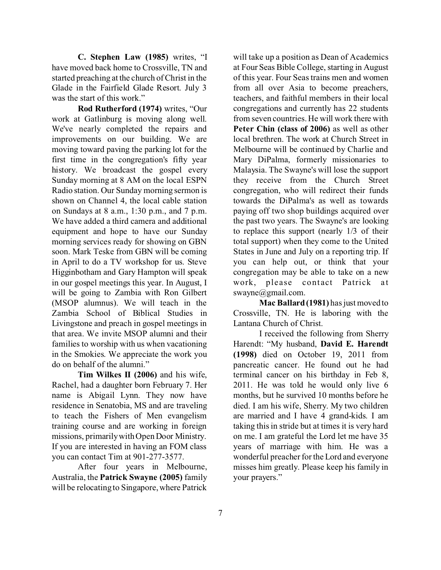**C. Stephen Law (1985)** writes, "I have moved back home to Crossville, TN and started preaching at the church of Christ in the Glade in the Fairfield Glade Resort. July 3 was the start of this work."

**Rod Rutherford (1974)** writes, "Our work at Gatlinburg is moving along well. We've nearly completed the repairs and improvements on our building. We are moving toward paving the parking lot for the first time in the congregation's fifty year history. We broadcast the gospel every Sunday morning at 8 AM on the local ESPN Radio station. Our Sunday morning sermon is shown on Channel 4, the local cable station on Sundays at 8 a.m., 1:30 p.m., and 7 p.m. We have added a third camera and additional equipment and hope to have our Sunday morning services ready for showing on GBN soon. Mark Teske from GBN will be coming in April to do a TV workshop for us. Steve Higginbotham and Gary Hampton will speak in our gospel meetings this year. In August, I will be going to Zambia with Ron Gilbert (MSOP alumnus). We will teach in the Zambia School of Biblical Studies in Livingstone and preach in gospel meetings in that area. We invite MSOP alumni and their families to worship with us when vacationing in the Smokies. We appreciate the work you do on behalf of the alumni."

**Tim Wilkes II (2006)** and his wife, Rachel, had a daughter born February 7. Her name is Abigail Lynn. They now have residence in Senatobia, MS and are traveling to teach the Fishers of Men evangelism training course and are working in foreign missions, primarily with Open Door Ministry. If you are interested in having an FOM class you can contact Tim at 901-277-3577.

After four years in Melbourne, Australia, the **Patrick Swayne (2005)** family will be relocating to Singapore, where Patrick will take up a position as Dean of Academics at Four Seas Bible College, starting in August of this year. Four Seas trains men and women from all over Asia to become preachers, teachers, and faithful members in their local congregations and currently has 22 students from seven countries. He will work there with **Peter Chin (class of 2006)** as well as other local brethren. The work at Church Street in Melbourne will be continued by Charlie and Mary DiPalma, formerly missionaries to Malaysia. The Swayne's will lose the support they receive from the Church Street congregation, who will redirect their funds towards the DiPalma's as well as towards paying off two shop buildings acquired over the past two years. The Swayne's are looking to replace this support (nearly 1/3 of their total support) when they come to the United States in June and July on a reporting trip. If you can help out, or think that your congregation may be able to take on a new work, please contact Patrick at swayne@gmail.com.

**Mac Ballard (1981)** has just moved to Crossville, TN. He is laboring with the Lantana Church of Christ.

I received the following from Sherry Harendt: "My husband, **David E. Harendt (1998)** died on October 19, 2011 from pancreatic cancer. He found out he had terminal cancer on his birthday in Feb 8, 2011. He was told he would only live 6 months, but he survived 10 months before he died. I am his wife, Sherry. My two children are married and I have 4 grand-kids. I am taking this in stride but at times it is very hard on me. I am grateful the Lord let me have 35 years of marriage with him. He was a wonderful preacher for the Lord and everyone misses him greatly. Please keep his family in your prayers."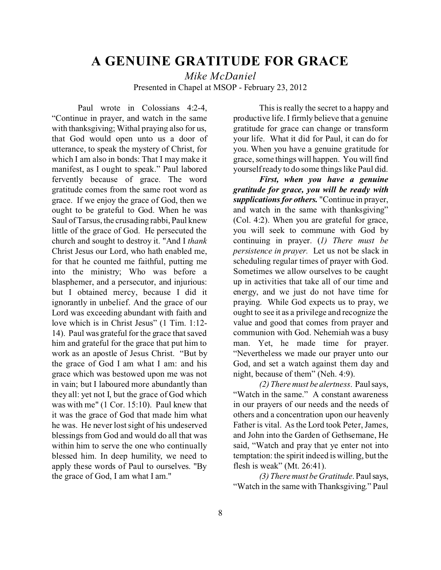## **A GENUINE GRATITUDE FOR GRACE**

*Mike McDaniel* Presented in Chapel at MSOP - February 23, 2012

Paul wrote in Colossians 4:2-4, "Continue in prayer, and watch in the same with thanksgiving; Withal praying also for us, that God would open unto us a door of utterance, to speak the mystery of Christ, for which I am also in bonds: That I may make it manifest, as I ought to speak." Paul labored fervently because of grace. The word gratitude comes from the same root word as grace. If we enjoy the grace of God, then we ought to be grateful to God. When he was Saul of Tarsus, the crusading rabbi, Paul knew little of the grace of God. He persecuted the church and sought to destroy it. "And I *thank* Christ Jesus our Lord, who hath enabled me, for that he counted me faithful, putting me into the ministry; Who was before a blasphemer, and a persecutor, and injurious: but I obtained mercy, because I did it ignorantly in unbelief. And the grace of our Lord was exceeding abundant with faith and love which is in Christ Jesus" (1 Tim. 1:12- 14). Paul was grateful for the grace that saved him and grateful for the grace that put him to work as an apostle of Jesus Christ. "But by the grace of God I am what I am: and his grace which was bestowed upon me was not in vain; but I laboured more abundantly than they all: yet not I, but the grace of God which was with me" (1 Cor. 15:10). Paul knew that it was the grace of God that made him what he was. He never lost sight of his undeserved blessings from God and would do all that was within him to serve the one who continually blessed him. In deep humility, we need to apply these words of Paul to ourselves. "By the grace of God, I am what I am."

This is really the secret to a happy and productive life. I firmly believe that a genuine gratitude for grace can change or transform your life. What it did for Paul, it can do for you. When you have a genuine gratitude for grace, some things will happen. You will find yourself ready to do some things like Paul did.

*First, when you have a genuine gratitude for grace, you will be ready with supplications for others.* "Continue in prayer, and watch in the same with thanksgiving" (Col. 4:2). When you are grateful for grace, you will seek to commune with God by continuing in prayer. (*1) There must be persistence in prayer.* Let us not be slack in scheduling regular times of prayer with God. Sometimes we allow ourselves to be caught up in activities that take all of our time and energy, and we just do not have time for praying. While God expects us to pray, we ought to see it as a privilege and recognize the value and good that comes from prayer and communion with God. Nehemiah was a busy man. Yet, he made time for prayer. "Nevertheless we made our prayer unto our God, and set a watch against them day and night, because of them" (Neh. 4:9).

*(2) There must be alertness*. Paul says, "Watch in the same." A constant awareness in our prayers of our needs and the needs of others and a concentration upon our heavenly Father is vital. As the Lord took Peter, James, and John into the Garden of Gethsemane, He said, "Watch and pray that ye enter not into temptation: the spirit indeed is willing, but the flesh is weak" (Mt. 26:41).

*(3) There must be Gratitude*. Paul says, "Watch in the same with Thanksgiving." Paul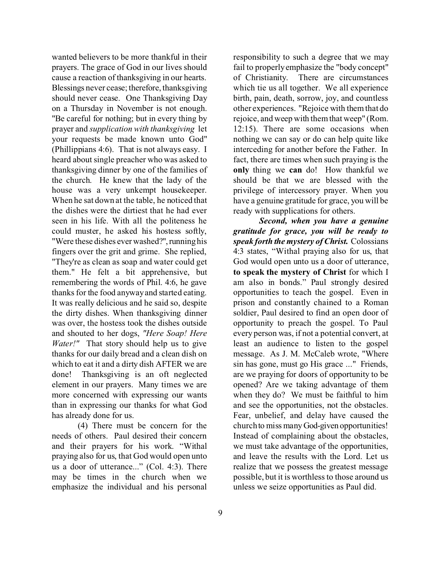wanted believers to be more thankful in their prayers. The grace of God in our lives should cause a reaction of thanksgiving in our hearts. Blessings never cease; therefore, thanksgiving should never cease. One Thanksgiving Day on a Thursday in November is not enough. "Be careful for nothing; but in every thing by prayer and *supplication with thanksgiving* let your requests be made known unto God" (Phillippians 4:6). That is not always easy. I heard about single preacher who was asked to thanksgiving dinner by one of the families of the church. He knew that the lady of the house was a very unkempt housekeeper. When he sat down at the table, he noticed that the dishes were the dirtiest that he had ever seen in his life. With all the politeness he could muster, he asked his hostess softly, "Were these dishes ever washed?",running his fingers over the grit and grime. She replied, "They're as clean as soap and water could get them." He felt a bit apprehensive, but remembering the words of Phil. 4:6, he gave thanks for the food anyway and started eating. It was really delicious and he said so, despite the dirty dishes. When thanksgiving dinner was over, the hostess took the dishes outside and shouted to her dogs, *"Here Soap! Here Water!"* That story should help us to give thanks for our daily bread and a clean dish on which to eat it and a dirty dish AFTER we are done! Thanksgiving is an oft neglected element in our prayers. Many times we are more concerned with expressing our wants than in expressing our thanks for what God has already done for us.

(4) There must be concern for the needs of others. Paul desired their concern and their prayers for his work. "Withal praying also for us, that God would open unto us a door of utterance..." (Col. 4:3). There may be times in the church when we emphasize the individual and his personal

responsibility to such a degree that we may fail to properly emphasize the "body concept" of Christianity. There are circumstances which tie us all together. We all experience birth, pain, death, sorrow, joy, and countless other experiences. "Rejoice with them that do rejoice, and weep with them that weep" (Rom. 12:15). There are some occasions when nothing we can say or do can help quite like interceding for another before the Father. In fact, there are times when such praying is the **only** thing we **can** do! How thankful we should be that we are blessed with the privilege of intercessory prayer. When you have a genuine gratitude for grace, you will be ready with supplications for others.

*Second, when you have a genuine gratitude for grace, you will be ready to speak forth the mystery of Christ.* Colossians 4:3 states, "Withal praying also for us, that God would open unto us a door of utterance, **to speak the mystery of Christ** for which I am also in bonds." Paul strongly desired opportunities to teach the gospel. Even in prison and constantly chained to a Roman soldier, Paul desired to find an open door of opportunity to preach the gospel. To Paul every person was, if not a potential convert, at least an audience to listen to the gospel message. As J. M. McCaleb wrote, "Where sin has gone, must go His grace ..." Friends, are we praying for doors of opportunity to be opened? Are we taking advantage of them when they do? We must be faithful to him and see the opportunities, not the obstacles. Fear, unbelief, and delay have caused the church to miss many God-given opportunities! Instead of complaining about the obstacles, we must take advantage of the opportunities, and leave the results with the Lord. Let us realize that we possess the greatest message possible, but it is worthless to those around us unless we seize opportunities as Paul did.